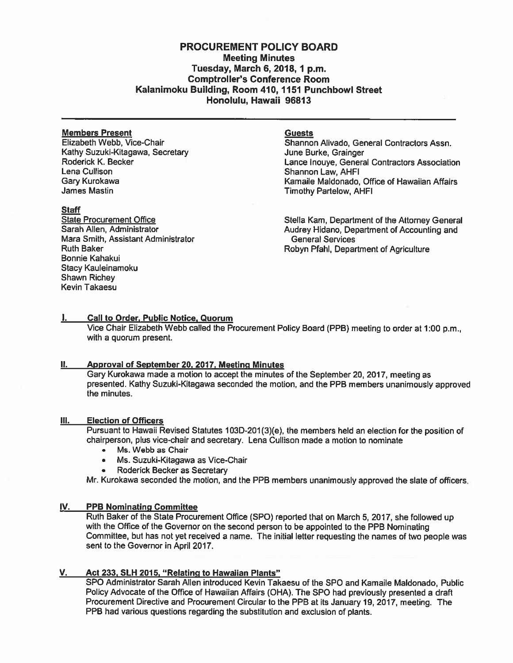# PROCUREMENT POLICY BOARD Meeting Minutes Tuesday, March 6, 2018, 1 p.m. Comptroller's Conference Room Kalanimoku Building, Room 410, 1151 Punchbowl Street Honolulu, Hawaii 96813

#### **Members Present Guests** Guests

Kathy Suzuki-Kitagawa, Secretary **June Burke, Grainger and Surke**, Grainger<br>Roderick K. Becker **Julie Burke, Secretary Control** Lance Inouve, Genera Lena Cullison Shannon Law, AHFI James Mastin Timothy Partelow, AHFI

#### **Staff**

Mara Smith, Assistant Administrator Bonnie Kahakui Stacy Kauleinamoku Shawn Richey Kevin Takaesu

Elizabeth Webb, Vice-Chair **Shannon Alivado, General Contractors Assn.** Roderick K. Becker **Lance Industry Contractors Association**<br>Lance Induye, General Contractors Association<br>Lance Lance Induye, General Contractors Association Kamaile Maldonado, Office of Hawaiian Affairs

State Procurement Office Stella Kam, Department of the Attorney General<br>Sarah Allen, Administrator Stella Christianus Audrey Hidano, Department of Accounting and Audrey Hidano, Department of Accounting and<br>General Services Ruth Baker **Robyn Pfahl, Department of Agriculture** 

### I. Call to Order. Public Notice, Quorum

Vice Chair Elizabeth Webb called the Procurement Policy Board (PPB) meeting to order at 1:00 p.m., with <sup>a</sup> quorum present.

# II. Approval of September 20, 2017, Meeting Minutes

Gary Kurokawa made <sup>a</sup> motion to accep<sup>t</sup> the minutes of the September 20, 2017, meeting as presented. Kathy Suzuki-Kitagawa seconded the motion, and the PPB members unanimously approved the minutes.

#### Ill. Election of Officers

Pursuant to Hawaii Revised Statutes 103D-201(3)(e), the members held an election for the position of chairperson, plus vice-chair and secretary. Lena Cullison made <sup>a</sup> motion to nominate

- •Ms. Webb as Chair
- •Ms. Suzuki-Kitagawa as Vice-Chair
- •Roderick Becker as Secretary

Mr. Kurokawa seconded the motion, and the PPB members unanimously approved the slate of officers.

#### IV. PPB Nominating Committee

Ruth Baker of the State Procurement Office (SPO) reported that on March 5, 2017, she followed up with the Office of the Governor on the second person to be appointed to the PPB Nominating Committee, but has not ye<sup>t</sup> received <sup>a</sup> name. The initial letter requesting the names of two people was sent to the Governor in April 2017.

# V. Act 233, SLH 2015, "Relating to Hawaiian Plants"

SPO Administrator Sarah Allen introduced Kevin Takaesu of the SPO and Kamaile Maldonado, Public Policy Advocate of the Office of Hawaiian Affairs (OHA). The SPO had previously presented <sup>a</sup> draft Procurement Directive and Procurement Circular to the PPB at its January 19, 2017, meeting. The PPB had various questions regarding the substitution and exclusion of plants.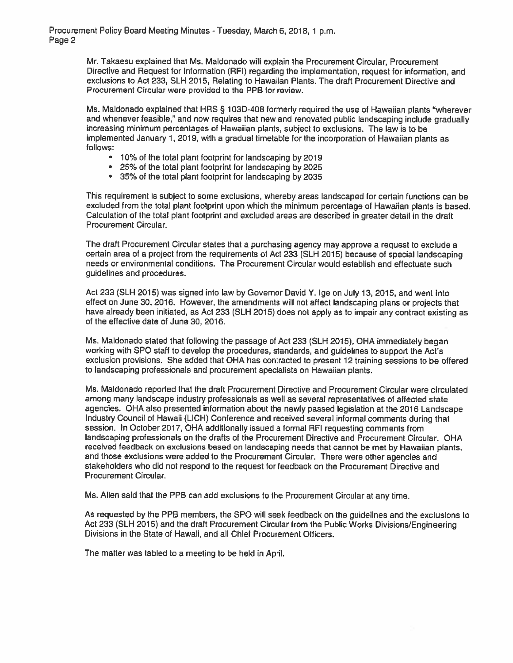Mr. Takaesu explained that Ms. Maldonado will explain the Procurement Circular, Procurement Directive and Request for Information (RFI) regarding the implementation, reques<sup>t</sup> for information, and exclusions to Act 233, SLH 2015, Relating to Hawaiian Plants. The draft Procurement Directive and Procurement Circular were provided to the PPB for review.

Ms. Maldonado explained that HRS § 103D-408 formerly required the use of Hawaiian <sup>p</sup>lants "wherever and whenever feasible," and now requires that new and renovated public landscaping include gradually increasing minimum percentages of Hawaiian <sup>p</sup>lants, subject to exclusions. The law is to be implemented January 1, 2019, with <sup>a</sup> gradual timetable for the incorporation of Hawaiian <sup>p</sup>lants as follows;

- 10% of the total plant footprint for landscaping by 2019
- 25% of the total plant footprint for landscaping by 2025
- 35% of the total plant footprint for landscaping by 2035

This requirement is subject to some exclusions, whereby areas landscaped for certain functions can be excluded from the total <sup>p</sup>lant footprint upon which the minimum percentage of Hawaiian <sup>p</sup>lants is based. Calculation of the total <sup>p</sup>lant footprint and excluded areas are described in greater detail in the draft Procurement Circular.

The draft Procurement Circular states that <sup>a</sup> purchasing agency may approve <sup>a</sup> reques<sup>t</sup> to exclude <sup>a</sup> certain area of <sup>a</sup> project from the requirements of Act <sup>233</sup> (SLH 2015) because of special landscaping needs or environmental conditions. The Procurement Circular would establish and effectuate such guidelines and procedures.

Act 233 (SLH 2015) was signed into law by Governor David Y. Ige on July 13, 2015, and went into effect on June 30, 2016. However, the amendments will not affect landscaping <sup>p</sup>lans or projects that have already been initiated, as Act <sup>233</sup> (SLH 2015) does not apply as to impair any contract existing as of the effective date of June 30, 2016.

Ms. Maldonado stated that following the passage of Act <sup>233</sup> (SLH 2015), OHA immediately began working with SPO staff to develop the procedures, standards, and guidelines to suppor<sup>t</sup> the Act's exclusion provisions. She added that OHA has contracted to presen<sup>t</sup> <sup>12</sup> training sessions to be offered to landscaping professionals and procuremen<sup>t</sup> specialists on Hawaiian <sup>p</sup>lants.

Ms. Maldonado reported that the draft Procurement Directive and Procurement Circular were circulated among many landscape industry professionals as well as several representatives of affected state agencies. OHA also presented information about the newly passe<sup>d</sup> legislation at the <sup>2016</sup> Landscape Industry Council of Hawaii (LICH) Conference and received several informal comments during that session. In October 2017, OHA additionally issued <sup>a</sup> formal RFI requesting comments from landscaping professionals on the drafts of the Procurement Directive and Procurement Circular. OHA received feedback on exclusions based on landscaping needs that cannot be met by Hawaiian <sup>p</sup>lants, and those exclusions were added to the Procurement Circular. There were other agencies and stakeholders who did not respond to the reques<sup>t</sup> for feedback on the Procurement Directive and Procurement Circular.

Ms. Allen said that the PPB can add exclusions to the Procurement Circular at any time.

As requested by the PPB members, the SPO will seek feedback on the guidelines and the exclusions to Act <sup>233</sup> (SLH 2016) and the draft Procurement Circular from the Public Works Divisions/Engineering Divisions in the State of Hawaii, and all Chief Procurement Officers.

The matter was tabled to <sup>a</sup> meeting to be held in April.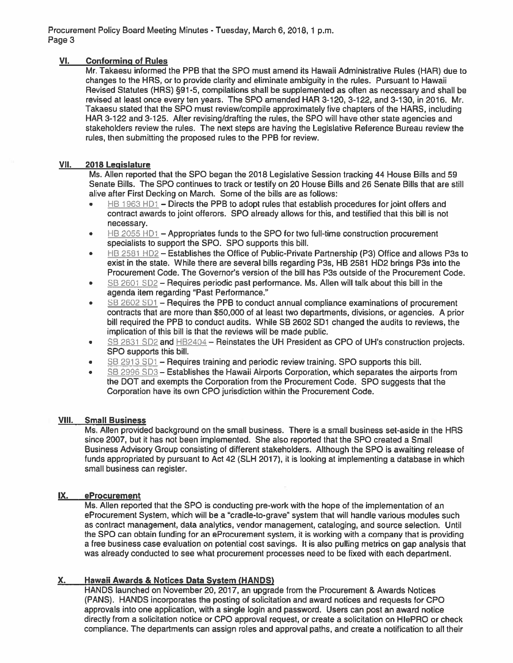# VI. Conforming of Rules

Mr. Takaesu informed the PPB that the SPO must amend its Hawaii Administrative Rules (HAP) due to changes to the HERS, or to provide clarity and eliminate ambiguity in the rules. Pursuant to Hawaii Revised Statutes (HRS) §91-5, compilations shall be supplemented as often as necessary and shall be revised at least once every ten years. The SPO amended HAP 3-120, 3-122, and 3-130, in 2016. Mr. Takaesu stated that the SPO must review/compile approximately five chapters of the HARS, including HAP 3-122 and 3-125. After revising/drafting the rules, the SPO will have other state agencies and stakeholders review the rules. The next steps are having the Legislative Reference Bureau review the rules, then submitting the proposed rules to the PPB for review.

# VII. 2018 Legislature

Ms. Allen reported that the SPO began the 2018 Legislative Session tracking 44 House Bills and 59 Senate Bills. The SPO continues to track or testify on 20 House Bills and 26 Senate Bills that are still alive after First Decking on March. Some of the bills are as follows:

- •HB 1963 HD1 – Directs the PPB to adopt rules that establish procedures for joint offers and contract awards to joint offerors. SPO already allows for this, and testified that this bill is not necessary.
- •HB 2055 HD1 – Appropriates funds to the SPO for two full-time construction procurement specialists to suppor<sup>t</sup> the SPO. SPO supports this bill.
- •HB 2581 HD2 – Establishes the Office of Public-Private Partnership (P3) Office and allows P3s to exist in the state. While there are several bills regarding P3s, HB 2581 HD2 brings P3s into the Procurement Code. The Governor's version of the bill has P3s outside of the Procurement Code.
- •SB 2601 SD2 – Requires periodic past performance. Ms. Allen will talk about this bill in the agenda item regarding "Past Performance."
- • SB 2602 SD1 — Requires the PPB to conduct annual compliance examinations of procuremen<sup>t</sup> contracts that are more than 550,000 of at least two departments, divisions, or agencies. A prior bill required the PPB to conduct audits. While SB 2602 501 changed the audits to reviews, the implication of this bill is that the reviews will be made public.
- •SB 2831 SD2 and HB2404 – Reinstates the UH President as CPO of UH's construction projects. SPO supports this bill.
- •SB 2913 SD1 — Requires training and periodic review training. SPO supports this bill.
- •SB 2996 SD3 - Establishes the Hawaii Airports Corporation, which separates the airports from the DOT and exempts the Corporation from the Procurement Code. SPO suggests that the Corporation have its own CPO jurisdiction within the Procurement Code.

# VIII. Small Business

Ms. Allen provided background on the small business. There is <sup>a</sup> small business set-aside in the HRS since 2007, but it has not been implemented. She also reported that the SPO created <sup>a</sup> Small Business Advisory Group consisting of different stakeholders. Although the SPO is awaiting release of funds appropriated by pursuan<sup>t</sup> to Act 42 (SLH 2017), it is looking at implementing <sup>a</sup> database in which small business can register.

# IX. eProcurement

Ms. Allen reported that the SPO is conducting pre-work with the hope of the implementation of an eProcurement System, which will be <sup>a</sup> "cradle-to-grave" system that will handle various modules such as contract management, data analytics, vendor management, cataloging, and source selection. Until the SPO can obtain funding for an eProcurement system, it is working with <sup>a</sup> company that is providing <sup>a</sup> free business case evaluation on potential cost savings. It is also pulling metrics on gap analysis that was already conducted to see what procuremen<sup>t</sup> processes need to be fixed with each department.

# X. Hawaii Awards & Notices Data System (HANDS)

HANDS launched on November 20, 2017, an upgrade from the Procurement & Awards Notices (PANS). HANDS incorporates the posting of solicitation and award notices and requests for CPO approvals into one application, with <sup>a</sup> single login and password. Users can pos<sup>t</sup> an award notice directly from <sup>a</sup> solicitation notice or CPO approval request, or create <sup>a</sup> solicitation on HIePRO or check compliance. The departments can assign roles and approval paths, and create <sup>a</sup> notification to all their